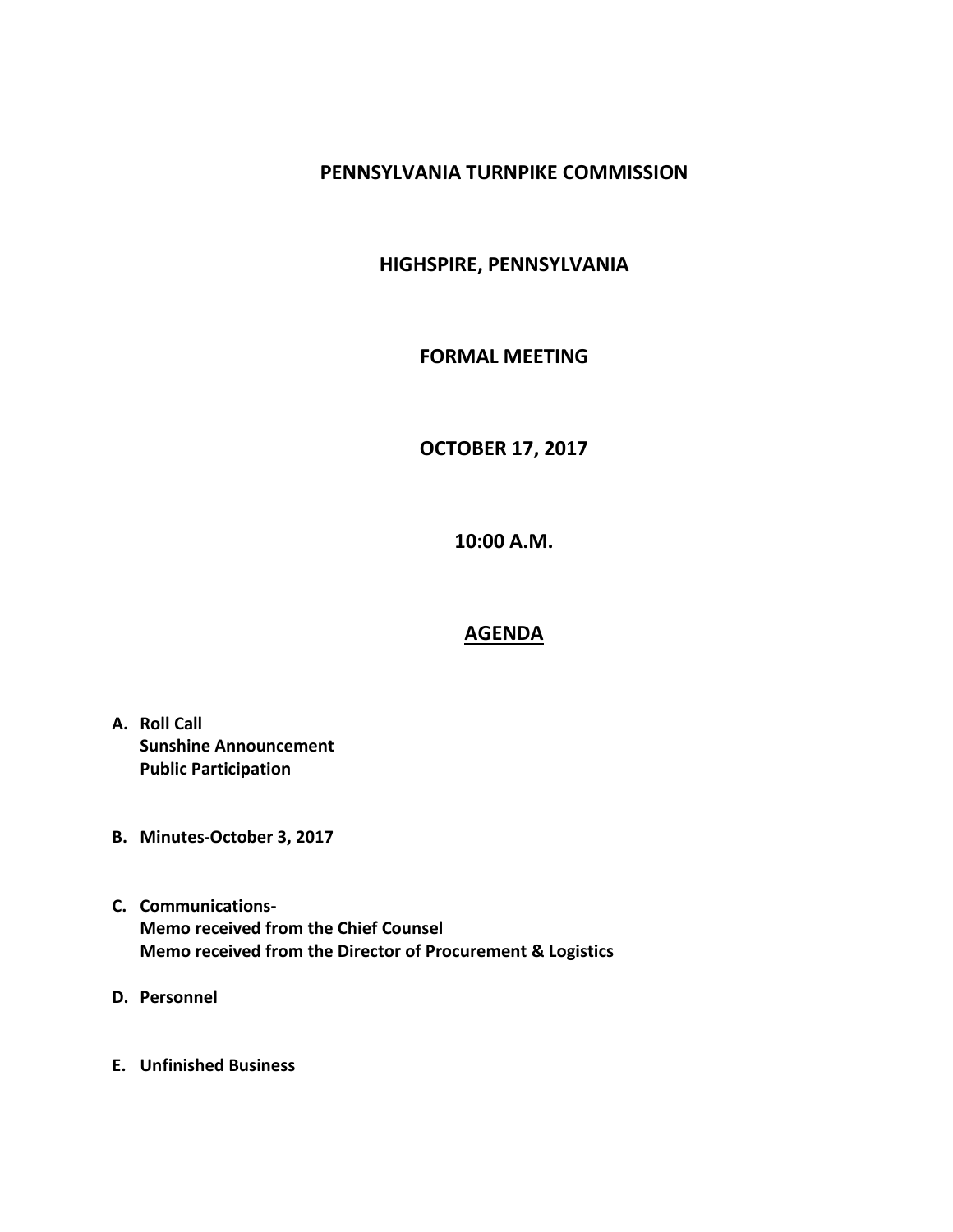# **PENNSYLVANIA TURNPIKE COMMISSION**

# **HIGHSPIRE, PENNSYLVANIA**

### **FORMAL MEETING**

# **OCTOBER 17, 2017**

**10:00 A.M.**

#### **AGENDA**

- **A. Roll Call Sunshine Announcement Public Participation**
- **B. Minutes-October 3, 2017**
- **C. Communications-Memo received from the Chief Counsel Memo received from the Director of Procurement & Logistics**
- **D. Personnel**
- **E. Unfinished Business**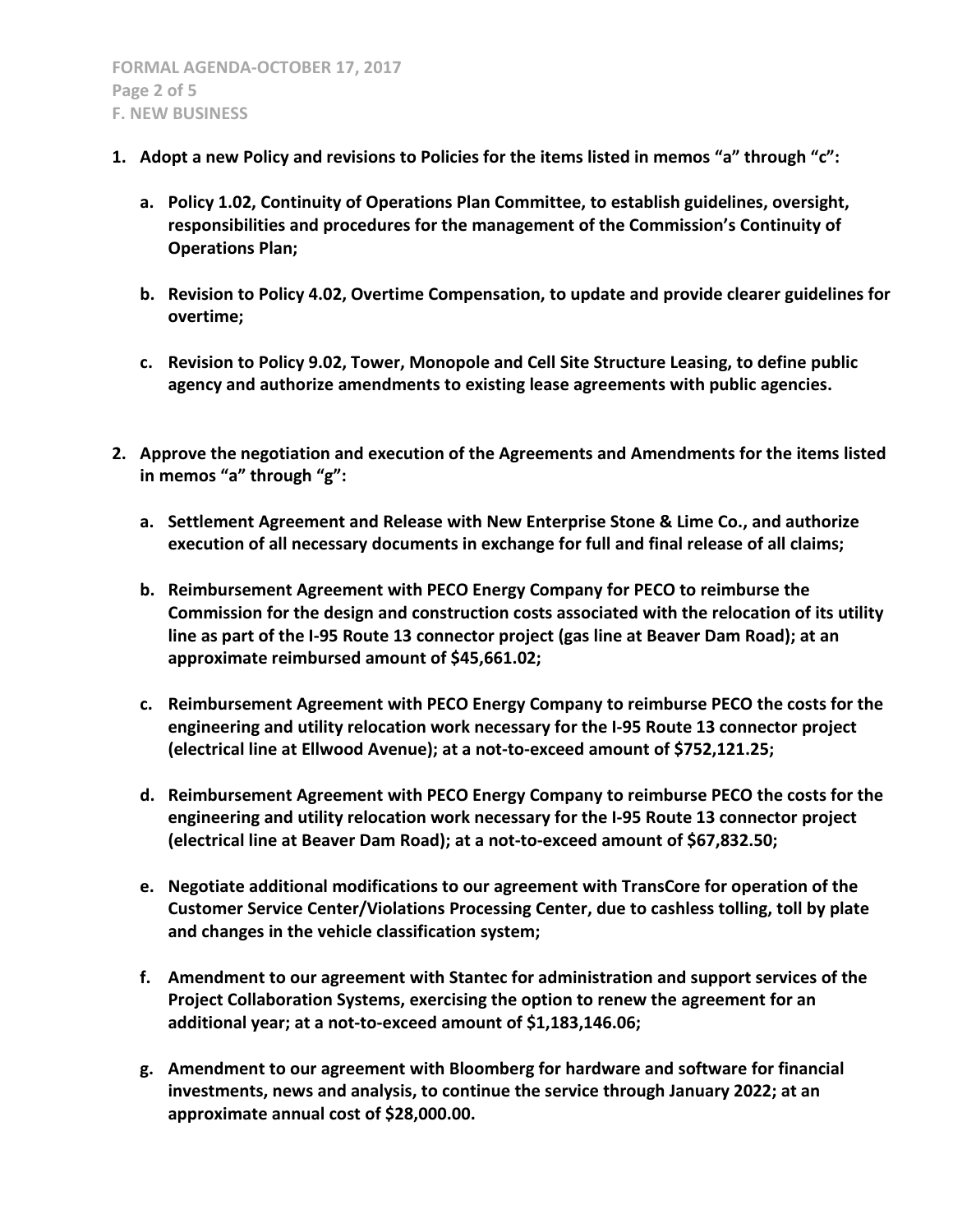- **1. Adopt a new Policy and revisions to Policies for the items listed in memos "a" through "c":**
	- **a. Policy 1.02, Continuity of Operations Plan Committee, to establish guidelines, oversight, responsibilities and procedures for the management of the Commission's Continuity of Operations Plan;**
	- **b. Revision to Policy 4.02, Overtime Compensation, to update and provide clearer guidelines for overtime;**
	- **c. Revision to Policy 9.02, Tower, Monopole and Cell Site Structure Leasing, to define public agency and authorize amendments to existing lease agreements with public agencies.**
- **2. Approve the negotiation and execution of the Agreements and Amendments for the items listed in memos "a" through "g":**
	- **a. Settlement Agreement and Release with New Enterprise Stone & Lime Co., and authorize execution of all necessary documents in exchange for full and final release of all claims;**
	- **b. Reimbursement Agreement with PECO Energy Company for PECO to reimburse the Commission for the design and construction costs associated with the relocation of its utility line as part of the I-95 Route 13 connector project (gas line at Beaver Dam Road); at an approximate reimbursed amount of \$45,661.02;**
	- **c. Reimbursement Agreement with PECO Energy Company to reimburse PECO the costs for the engineering and utility relocation work necessary for the I-95 Route 13 connector project (electrical line at Ellwood Avenue); at a not-to-exceed amount of \$752,121.25;**
	- **d. Reimbursement Agreement with PECO Energy Company to reimburse PECO the costs for the engineering and utility relocation work necessary for the I-95 Route 13 connector project (electrical line at Beaver Dam Road); at a not-to-exceed amount of \$67,832.50;**
	- **e. Negotiate additional modifications to our agreement with TransCore for operation of the Customer Service Center/Violations Processing Center, due to cashless tolling, toll by plate and changes in the vehicle classification system;**
	- **f. Amendment to our agreement with Stantec for administration and support services of the Project Collaboration Systems, exercising the option to renew the agreement for an additional year; at a not-to-exceed amount of \$1,183,146.06;**
	- **g. Amendment to our agreement with Bloomberg for hardware and software for financial investments, news and analysis, to continue the service through January 2022; at an approximate annual cost of \$28,000.00.**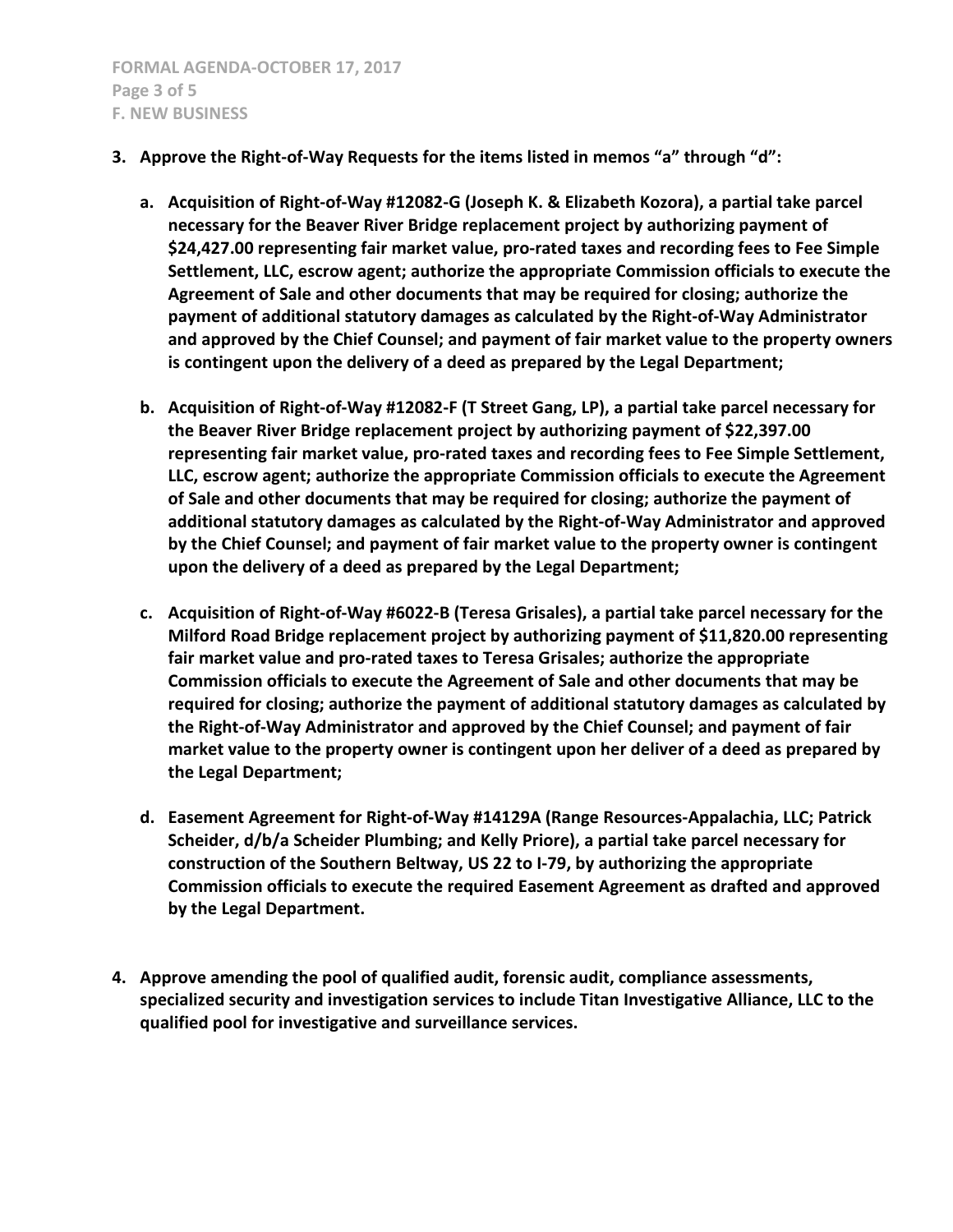- **3. Approve the Right-of-Way Requests for the items listed in memos "a" through "d":**
	- **a. Acquisition of Right-of-Way #12082-G (Joseph K. & Elizabeth Kozora), a partial take parcel necessary for the Beaver River Bridge replacement project by authorizing payment of \$24,427.00 representing fair market value, pro-rated taxes and recording fees to Fee Simple Settlement, LLC, escrow agent; authorize the appropriate Commission officials to execute the Agreement of Sale and other documents that may be required for closing; authorize the payment of additional statutory damages as calculated by the Right-of-Way Administrator and approved by the Chief Counsel; and payment of fair market value to the property owners is contingent upon the delivery of a deed as prepared by the Legal Department;**
	- **b. Acquisition of Right-of-Way #12082-F (T Street Gang, LP), a partial take parcel necessary for the Beaver River Bridge replacement project by authorizing payment of \$22,397.00 representing fair market value, pro-rated taxes and recording fees to Fee Simple Settlement, LLC, escrow agent; authorize the appropriate Commission officials to execute the Agreement of Sale and other documents that may be required for closing; authorize the payment of additional statutory damages as calculated by the Right-of-Way Administrator and approved by the Chief Counsel; and payment of fair market value to the property owner is contingent upon the delivery of a deed as prepared by the Legal Department;**
	- **c. Acquisition of Right-of-Way #6022-B (Teresa Grisales), a partial take parcel necessary for the Milford Road Bridge replacement project by authorizing payment of \$11,820.00 representing fair market value and pro-rated taxes to Teresa Grisales; authorize the appropriate Commission officials to execute the Agreement of Sale and other documents that may be required for closing; authorize the payment of additional statutory damages as calculated by the Right-of-Way Administrator and approved by the Chief Counsel; and payment of fair market value to the property owner is contingent upon her deliver of a deed as prepared by the Legal Department;**
	- **d. Easement Agreement for Right-of-Way #14129A (Range Resources-Appalachia, LLC; Patrick Scheider, d/b/a Scheider Plumbing; and Kelly Priore), a partial take parcel necessary for construction of the Southern Beltway, US 22 to I-79, by authorizing the appropriate Commission officials to execute the required Easement Agreement as drafted and approved by the Legal Department.**
- **4. Approve amending the pool of qualified audit, forensic audit, compliance assessments, specialized security and investigation services to include Titan Investigative Alliance, LLC to the qualified pool for investigative and surveillance services.**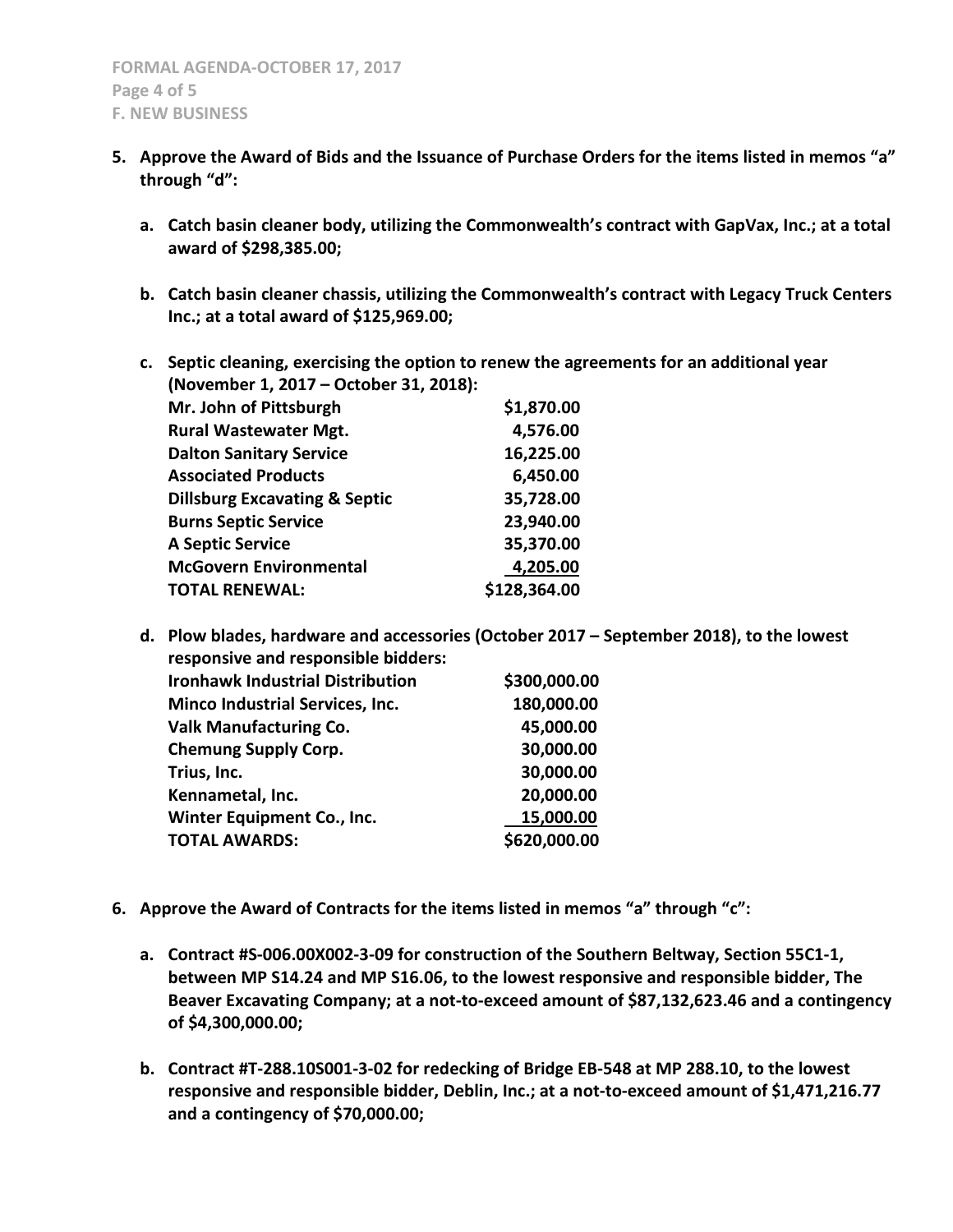- **5. Approve the Award of Bids and the Issuance of Purchase Orders for the items listed in memos "a" through "d":**
	- **a. Catch basin cleaner body, utilizing the Commonwealth's contract with GapVax, Inc.; at a total award of \$298,385.00;**
	- **b. Catch basin cleaner chassis, utilizing the Commonwealth's contract with Legacy Truck Centers Inc.; at a total award of \$125,969.00;**
	- **c. Septic cleaning, exercising the option to renew the agreements for an additional year (November 1, 2017 – October 31, 2018): Mr. John of Pittsburgh** \$1,870.00 Rural Wastewater Mgt. **4,576.00 Dalton Sanitary Service 16,225.00 Associated Products 6,450.00 Dillsburg Excavating & Septic 35,728.00 Burns Septic Service 23,940.00 A Septic Service 35,370.00 McGovern Environmental 4,205.00 TOTAL RENEWAL: \$128,364.00**
	- **d. Plow blades, hardware and accessories (October 2017 – September 2018), to the lowest responsive and responsible bidders: Ironhawk Industrial Distribution** \$300,000.00 **Minco Industrial Services, Inc. 180,000.00 Valk Manufacturing Co. 45,000.00 Chemung Supply Corp. 30,000.00 Trius, Inc. 30,000.00 Kennametal, Inc. 20,000.00 Winter Equipment Co., Inc.** 15,000.00 **TOTAL AWARDS: \$620,000.00**
- **6. Approve the Award of Contracts for the items listed in memos "a" through "c":**
	- **a. Contract #S-006.00X002-3-09 for construction of the Southern Beltway, Section 55C1-1, between MP S14.24 and MP S16.06, to the lowest responsive and responsible bidder, The Beaver Excavating Company; at a not-to-exceed amount of \$87,132,623.46 and a contingency of \$4,300,000.00;**
	- **b. Contract #T-288.10S001-3-02 for redecking of Bridge EB-548 at MP 288.10, to the lowest responsive and responsible bidder, Deblin, Inc.; at a not-to-exceed amount of \$1,471,216.77 and a contingency of \$70,000.00;**